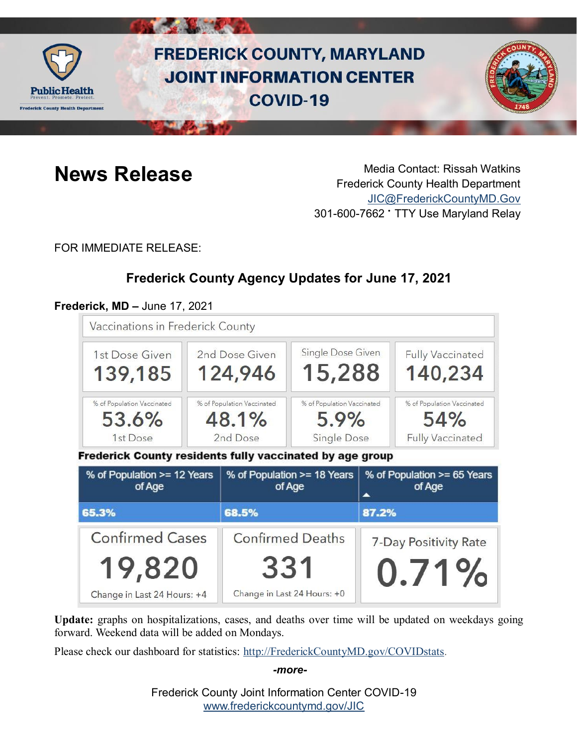

# **FREDERICK COUNTY, MARYLAND JOINT INFORMATION CENTER COVID-19**



**News Release** Media Contact: Rissah Watkins Frederick County Health Department [JIC@FrederickCountyMD.Gov](mailto:JIC@FrederickCountyMD.Gov) 301-600-7662 • TTY Use Maryland Relay

FOR IMMEDIATE RELEASE:

## **Frederick County Agency Updates for June 17, 2021**

### **Frederick, MD –** June 17, 2021

| Vaccinations in Frederick County                                                                            |                                                 |                                       |                                                   |                                            |                                                              |
|-------------------------------------------------------------------------------------------------------------|-------------------------------------------------|---------------------------------------|---------------------------------------------------|--------------------------------------------|--------------------------------------------------------------|
| 1st Dose Given<br>139,185                                                                                   | 2nd Dose Given<br>124,946                       |                                       | Single Dose Given<br>15,288                       |                                            | <b>Fully Vaccinated</b><br>140,234                           |
| % of Population Vaccinated<br>53.6%<br>1st Dose<br>Frederick County residents fully vaccinated by age group | % of Population Vaccinated<br>48.1%<br>2nd Dose |                                       | % of Population Vaccinated<br>5.9%<br>Single Dose |                                            | % of Population Vaccinated<br>54%<br><b>Fully Vaccinated</b> |
| % of Population >= 12 Years<br>of Age                                                                       |                                                 | % of Population >= 18 Years<br>of Age |                                                   | % of Population >= 65 Years<br>of Age<br>▲ |                                                              |
| 65.3%                                                                                                       |                                                 | 68.5%                                 |                                                   | 87.2%                                      |                                                              |
| <b>Confirmed Cases</b>                                                                                      |                                                 | <b>Confirmed Deaths</b>               |                                                   | 7-Day Positivity Rate                      |                                                              |
| 19,820<br>Change in Last 24 Hours: +4                                                                       |                                                 | 331<br>Change in Last 24 Hours: +0    |                                                   |                                            | 0.71%                                                        |

**Update:** graphs on hospitalizations, cases, and deaths over time will be updated on weekdays going forward. Weekend data will be added on Mondays.

Please check our dashboard for statistics: [http://FrederickCountyMD.gov/COVIDstats.](http://frederickcountymd.gov/COVIDstats)

*-more-*

Frederick County Joint Information Center COVID-19 [www.frederickcountymd.gov/JIC](https://frederickcountymd.gov/JIC)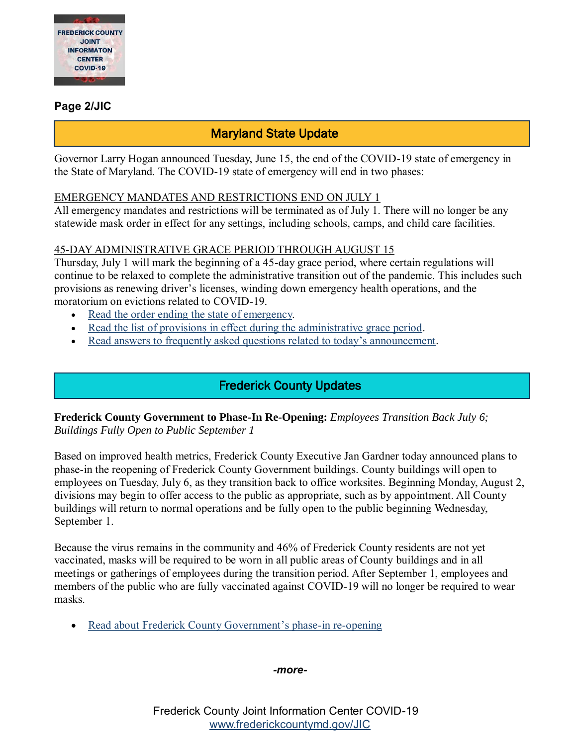

#### **Page 2/JIC**

## Maryland State Update

Governor Larry Hogan announced Tuesday, June 15, the end of the COVID-19 state of emergency in the State of Maryland. The COVID-19 state of emergency will end in two phases:

#### EMERGENCY MANDATES AND RESTRICTIONS END ON JULY 1

All emergency mandates and restrictions will be terminated as of July 1. There will no longer be any statewide mask order in effect for any settings, including schools, camps, and child care facilities.

#### 45-DAY ADMINISTRATIVE GRACE PERIOD THROUGH AUGUST 15

Thursday, July 1 will mark the beginning of a 45-day grace period, where certain regulations will continue to be relaxed to complete the administrative transition out of the pandemic. This includes such provisions as renewing driver's licenses, winding down emergency health operations, and the moratorium on evictions related to COVID-19.

- [Read the order ending the state of emergency.](https://governor.maryland.gov/wp-content/uploads/2021/06/Termination-Roadmap-6.15.21.pdf)
- [Read the list of provisions in effect during the administrative grace period.](https://governor.maryland.gov/wp-content/uploads/2021/06/6.15-COVID-Transition-Plan.docx.pdf)
- [Read answers to frequently asked questions related to today's announcement.](https://governor.maryland.gov/faq-end-of-state-of-emergency/)

## Frederick County Updates

**Frederick County Government to Phase-In Re-Opening:** *Employees Transition Back July 6; Buildings Fully Open to Public September 1*

Based on improved health metrics, Frederick County Executive Jan Gardner today announced plans to phase-in the reopening of Frederick County Government buildings. County buildings will open to employees on Tuesday, July 6, as they transition back to office worksites. Beginning Monday, August 2, divisions may begin to offer access to the public as appropriate, such as by appointment. All County buildings will return to normal operations and be fully open to the public beginning Wednesday, September 1.

Because the virus remains in the community and 46% of Frederick County residents are not yet vaccinated, masks will be required to be worn in all public areas of County buildings and in all meetings or gatherings of employees during the transition period. After September 1, employees and members of the public who are fully vaccinated against COVID-19 will no longer be required to wear masks.

• [Read about Frederick County Government's phase-in re-opening](file:///C:/Users/cmcmillan/AppData/Local/Microsoft/Windows/INetCache/Content.Outlook/Q29JTIA1/Reopening%20061721.pdf)

#### *-more-*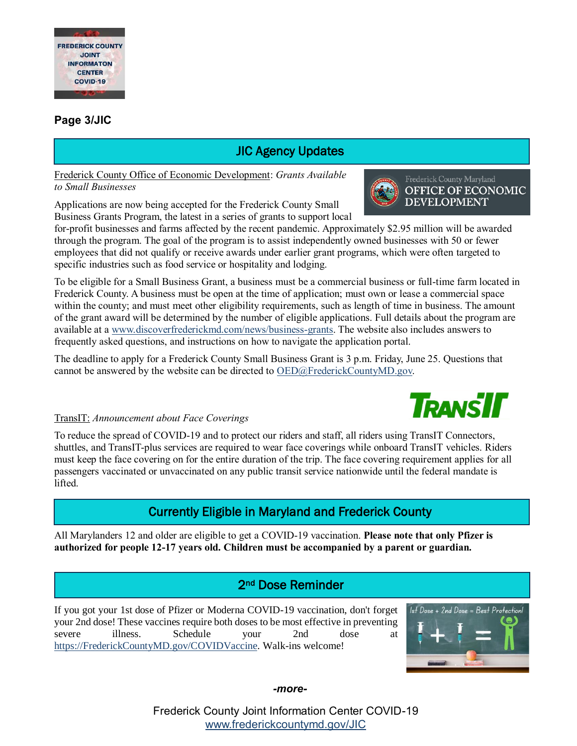

#### **Page 3/JIC**

## JIC Agency Updates

Frederick County Office of Economic Development: *Grants Available to Small Businesses*

Applications are now being accepted for the Frederick County Small Business Grants Program, the latest in a series of grants to support local

for-profit businesses and farms affected by the recent pandemic. Approximately \$2.95 million will be awarded through the program. The goal of the program is to assist independently owned businesses with 50 or fewer employees that did not qualify or receive awards under earlier grant programs, which were often targeted to specific industries such as food service or hospitality and lodging.

To be eligible for a Small Business Grant, a business must be a commercial business or full-time farm located in Frederick County. A business must be open at the time of application; must own or lease a commercial space within the county; and must meet other eligibility requirements, such as length of time in business. The amount of the grant award will be determined by the number of eligible applications. Full details about the program are available at a [www.discoverfrederickmd.com/news/business-grants.](http://www.discoverfrederickmd.com/news/business-grants) The website also includes answers to frequently asked questions, and instructions on how to navigate the application portal.

The deadline to apply for a Frederick County Small Business Grant is 3 p.m. Friday, June 25. Questions that cannot be answered by the website can be directed to [OED@FrederickCountyMD.gov.](mailto:OED@FrederickCountyMD.gov)

#### TransIT: *Announcement about Face Coverings*

To reduce the spread of COVID-19 and to protect our riders and staff, all riders using TransIT Connectors, shuttles, and TransIT-plus services are required to wear face coverings while onboard TransIT vehicles. Riders must keep the face covering on for the entire duration of the trip. The face covering requirement applies for all passengers vaccinated or unvaccinated on any public transit service nationwide until the federal mandate is lifted.

## Currently Eligible in Maryland and Frederick County

All Marylanders 12 and older are eligible to get a COVID-19 vaccination. **Please note that only Pfizer is authorized for people 12-17 years old. Children must be accompanied by a parent or guardian.**

### 2nd Dose Reminder

If you got your 1st dose of Pfizer or Moderna COVID-19 vaccination, don't forget your 2nd dose! These vaccines require both doses to be most effective in preventing severe illness. Schedule your 2nd dose at [https://FrederickCountyMD.gov/COVIDVaccine.](https://frederickcountymd.gov/COVIDVaccine) Walk-ins welcome!



*-more-*

Frederick County Joint Information Center COVID-19 [www.frederickcountymd.gov/JIC](https://frederickcountymd.gov/JIC)